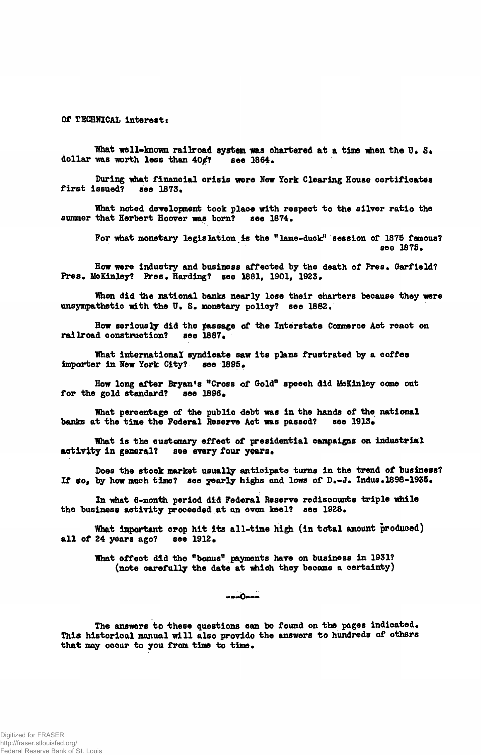**Of TECHNICAL interests**

What well-known railroad system was chartered at a time when the **U**. S.<br>was worth less than 40*¢*? see 1864. dollar was worth less than  $40$ **/?** 

**During what financial crisis were New York Clearing House certificates** first issued?

**IVhat noted development took place with respeot to the silver ratio the summer that Herbert Hoover was born? see 1874.**

**For what monetary legislation is the "lame-duck" session of 1875 famous? see 1875«**

**How were industry and business affected by the death of Fres, Garfield? Pres. McKinley? Fres. Harding? see 1881, 1901f 1923.**

**When did the national banks nearly lose their charters because they were unsympathetic with the V\* S. monetary policy? see 1882/**

**How seriously did the passage of the Interstate Commerce Act react on** railroad construction?

**What international syndicate saw its plans frustrated by a coffee importer in New York City? see 1895.**

**How long after Bryan's "Cross of Gold" speech did ifcKinley come out** for the gold standard? see 1896.

**What percentage of the public debt was in the hands of the national** banks at the time the Federal Reserve Act was passed? see 1913.

**Vhat is the customary effeot of presidential campaigns on industrial** activity in general? see every four years.

**Does the stock market usually anticipate turns in the trend of business?** If so, by how much time? see yearly highs and lows of D.-J. Indus.1898-1935.

**In what 6-month period did Federal Reserve rediscounts triple while** the business activity proceeded at an even keel? see 1928.

What important crop hit its all-time high (in total amount produced) **all of 24 years ago? see 1912 •**

What effect did the "bonus" payments have on business in 1931? (note carefully the date at which they became a certainty)

 $---0---$ 

**The answers to these questions can be found on the pages indicated. This historical manual will also provide the answers to hundreds of others** that may occur to you from time to time.